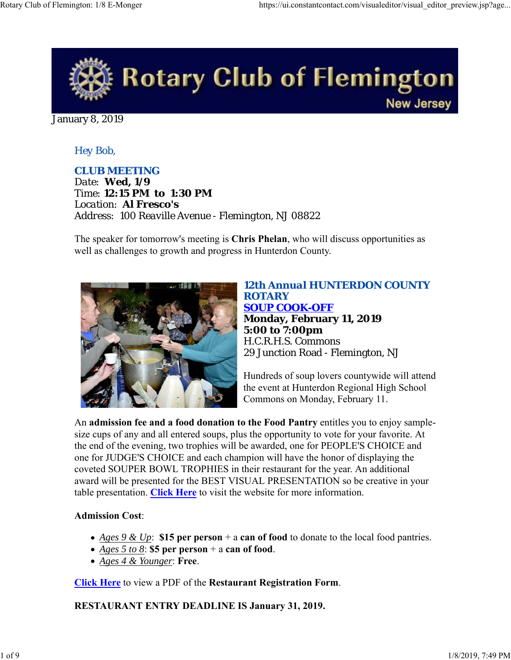

January 8, 2019

## *Hey Bob,*

*CLUB MEETING Date: Wed, 1/9 Time: 12:15 PM to 1:30 PM Location: Al Fresco's Address: 100 Reaville Avenue - Flemington, NJ 08822*

The speaker for tomorrow's meeting is **Chris Phelan**, who will discuss opportunities as well as challenges to growth and progress in Hunterdon County.



## *12th Annual HUNTERDON COUNTY ROTARY SOUP COOK-OFF* **Monday, February 11, 2019 5:00 to 7:00pm** H.C.R.H.S. Commons 29 Junction Road - Flemington, NJ

Hundreds of soup lovers countywide will attend the event at Hunterdon Regional High School Commons on Monday, February 11.

An **admission fee and a food donation to the Food Pantry** entitles you to enjoy samplesize cups of any and all entered soups, plus the opportunity to vote for your favorite. At the end of the evening, two trophies will be awarded, one for PEOPLE'S CHOICE and one for JUDGE'S CHOICE and each champion will have the honor of displaying the coveted SOUPER BOWL TROPHIES in their restaurant for the year. An additional award will be presented for the BEST VISUAL PRESENTATION so be creative in your table presentation. **Click Here** to visit the website for more information.

#### **Admission Cost**:

- *Ages 9 & Up*: **\$15 per person** + a **can of food** to donate to the local food pantries.
- *Ages 5 to 8*: **\$5 per person** + a **can of food**.
- *Ages 4 & Younger*: **Free**.

**Click Here** to view a PDF of the **Restaurant Registration Form**.

**RESTAURANT ENTRY DEADLINE IS January 31, 2019.**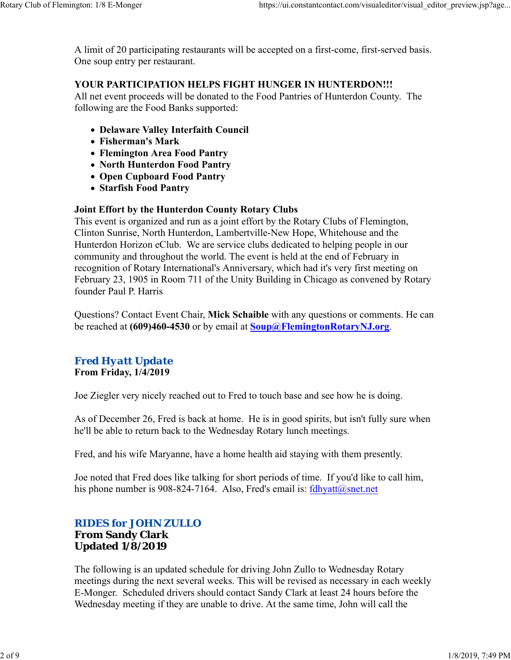A limit of 20 participating restaurants will be accepted on a first-come, first-served basis. One soup entry per restaurant.

### **YOUR PARTICIPATION HELPS FIGHT HUNGER IN HUNTERDON!!!**

All net event proceeds will be donated to the Food Pantries of Hunterdon County. The following are the Food Banks supported:

- **Delaware Valley Interfaith Council**
- **Fisherman's Mark**
- **Flemington Area Food Pantry**
- **North Hunterdon Food Pantry**
- **Open Cupboard Food Pantry**
- **Starfish Food Pantry**

#### **Joint Effort by the Hunterdon County Rotary Clubs**

This event is organized and run as a joint effort by the Rotary Clubs of Flemington, Clinton Sunrise, North Hunterdon, Lambertville-New Hope, Whitehouse and the Hunterdon Horizon eClub. We are service clubs dedicated to helping people in our community and throughout the world. The event is held at the end of February in recognition of Rotary International's Anniversary, which had it's very first meeting on February 23, 1905 in Room 711 of the Unity Building in Chicago as convened by Rotary founder Paul P. Harris

Questions? Contact Event Chair, **Mick Schaible** with any questions or comments. He can be reached at **(609)460-4530** or by email at **Soup@FlemingtonRotaryNJ.org**.

# *Fred Hyatt Update*

**From Friday, 1/4/2019**

Joe Ziegler very nicely reached out to Fred to touch base and see how he is doing.

As of December 26, Fred is back at home. He is in good spirits, but isn't fully sure when he'll be able to return back to the Wednesday Rotary lunch meetings.

Fred, and his wife Maryanne, have a home health aid staying with them presently.

Joe noted that Fred does like talking for short periods of time. If you'd like to call him, his phone number is 908-824-7164. Also, Fred's email is: fdhyatt@snet.net

### *RIDES for JOHN ZULLO* **From Sandy Clark Updated 1/8/2019**

The following is an updated schedule for driving John Zullo to Wednesday Rotary meetings during the next several weeks. This will be revised as necessary in each weekly E-Monger. Scheduled drivers should contact Sandy Clark at least 24 hours before the Wednesday meeting if they are unable to drive. At the same time, John will call the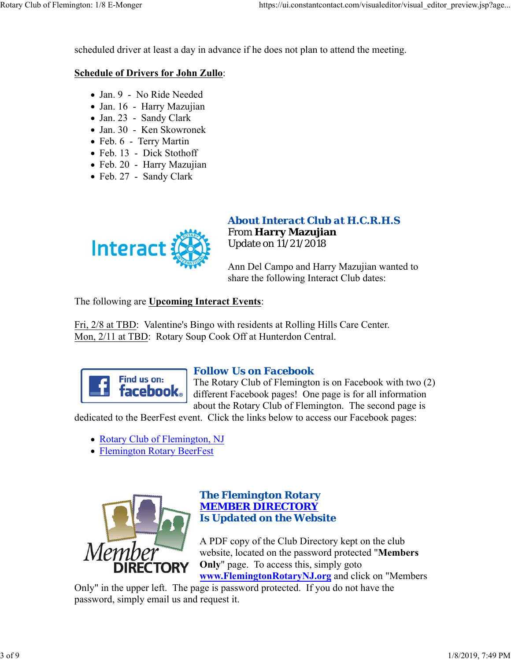scheduled driver at least a day in advance if he does not plan to attend the meeting.

#### **Schedule of Drivers for John Zullo**:

- Jan. 9 No Ride Needed
- Jan. 16 Harry Mazujian
- Jan. 23 Sandy Clark
- Jan. 30 Ken Skowronek
- Feb. 6 Terry Martin
- Feb. 13 Dick Stothoff
- Feb. 20 Harry Mazujian
- Feb. 27 Sandy Clark



### *About Interact Club at H.C.R.H.S* From **Harry Mazujian** Update on 11/21/2018

Ann Del Campo and Harry Mazujian wanted to share the following Interact Club dates:

The following are **Upcoming Interact Events**:

Fri, 2/8 at TBD: Valentine's Bingo with residents at Rolling Hills Care Center. Mon, 2/11 at TBD: Rotary Soup Cook Off at Hunterdon Central.



## *Follow Us on Facebook*

The Rotary Club of Flemington is on Facebook with two (2) different Facebook pages! One page is for all information about the Rotary Club of Flemington. The second page is

dedicated to the BeerFest event. Click the links below to access our Facebook pages:

- Rotary Club of Flemington, NJ
- Flemington Rotary BeerFest



#### *The Flemington Rotary MEMBER DIRECTORY Is Updated on the Website*

A PDF copy of the Club Directory kept on the club website, located on the password protected "**Members Only**" page. To access this, simply goto **www.FlemingtonRotaryNJ.org** and click on "Members

Only" in the upper left. The page is password protected. If you do not have the password, simply email us and request it.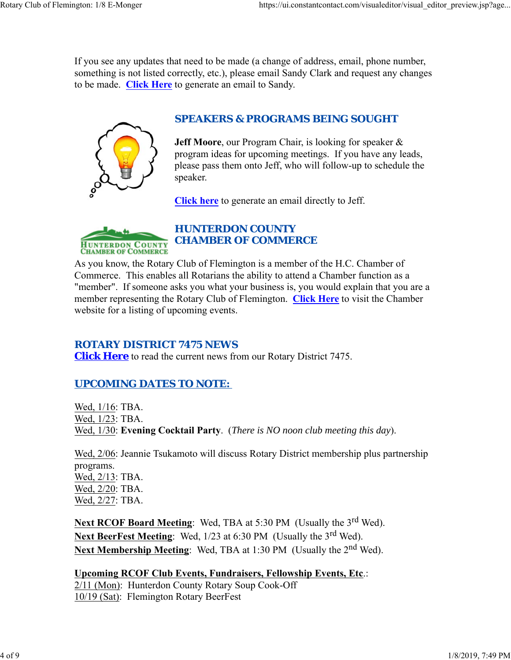If you see any updates that need to be made (a change of address, email, phone number, something is not listed correctly, etc.), please email Sandy Clark and request any changes to be made. **Click Here** to generate an email to Sandy.



# *SPEAKERS & PROGRAMS BEING SOUGHT*

**Jeff Moore**, our Program Chair, is looking for speaker & program ideas for upcoming meetings. If you have any leads, please pass them onto Jeff, who will follow-up to schedule the speaker.

**Click here** to generate an email directly to Jeff.



# *HUNTERDON COUNTY CHAMBER OF COMMERCE*

As you know, the Rotary Club of Flemington is a member of the H.C. Chamber of Commerce. This enables all Rotarians the ability to attend a Chamber function as a "member". If someone asks you what your business is, you would explain that you are a member representing the Rotary Club of Flemington. **Click Here** to visit the Chamber website for a listing of upcoming events.

## *ROTARY DISTRICT 7475 NEWS*

**Click Here** to read the current news from our Rotary District 7475.

# *UPCOMING DATES TO NOTE:*

Wed, 1/16: TBA. Wed, 1/23: TBA. Wed, 1/30: **Evening Cocktail Party**. (*There is NO noon club meeting this day*).

Wed, 2/06: Jeannie Tsukamoto will discuss Rotary District membership plus partnership programs. Wed, 2/13: TBA. Wed, 2/20: TBA. Wed, 2/27: TBA.

Next RCOF Board Meeting: Wed, TBA at 5:30 PM (Usually the 3<sup>rd</sup> Wed). Next BeerFest Meeting: Wed, 1/23 at 6:30 PM (Usually the 3<sup>rd</sup> Wed). **Next Membership Meeting:** Wed, TBA at 1:30 PM (Usually the 2<sup>nd</sup> Wed).

# **Upcoming RCOF Club Events, Fundraisers, Fellowship Events, Etc**.:

2/11 (Mon): Hunterdon County Rotary Soup Cook-Off 10/19 (Sat): Flemington Rotary BeerFest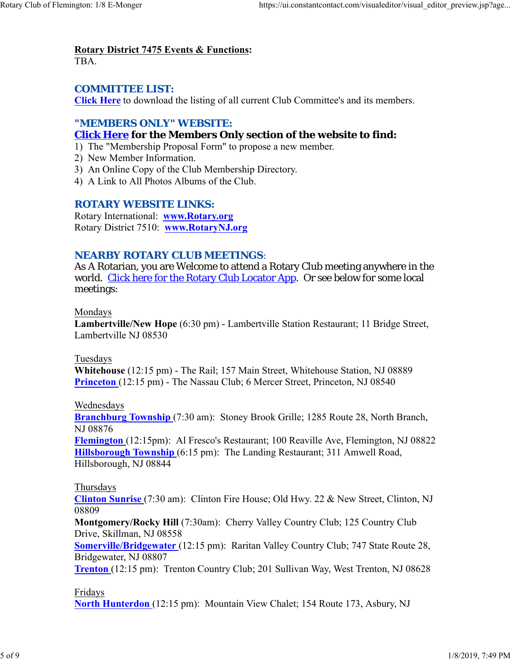# **Rotary District 7475 Events & Functions:**

TBA.

# *COMMITTEE LIST:*

**Click Here** to download the listing of all current Club Committee's and its members.

# *"MEMBERS ONLY" WEBSITE:*

# **Click Here for the Members Only section of the website to find:**

- 1) The "Membership Proposal Form" to propose a new member.
- 2) New Member Information.
- 3) An Online Copy of the Club Membership Directory.
- 4) A Link to All Photos Albums of the Club.

## *ROTARY WEBSITE LINKS:*

Rotary International: **www.Rotary.org** Rotary District 7510: **www.RotaryNJ.org**

## *NEARBY ROTARY CLUB MEETINGS:*

As A Rotarian, you are Welcome to attend a Rotary Club meeting anywhere in the world. Click here for the Rotary Club Locator App. Or see below for some local meetings:

### Mondays

**Lambertville/New Hope** (6:30 pm) - Lambertville Station Restaurant; 11 Bridge Street, Lambertville NJ 08530

#### Tuesdays

**Whitehouse** (12:15 pm) - The Rail; 157 Main Street, Whitehouse Station, NJ 08889 **Princeton** (12:15 pm) - The Nassau Club; 6 Mercer Street, Princeton, NJ 08540

#### Wednesdays

**Branchburg Township** (7:30 am): Stoney Brook Grille; 1285 Route 28, North Branch, NJ 08876

**Flemington** (12:15pm): Al Fresco's Restaurant; 100 Reaville Ave, Flemington, NJ 08822 **Hillsborough Township** (6:15 pm): The Landing Restaurant; 311 Amwell Road, Hillsborough, NJ 08844

#### Thursdays

**Clinton Sunrise** (7:30 am): Clinton Fire House; Old Hwy. 22 & New Street, Clinton, NJ 08809

**Montgomery/Rocky Hill** (7:30am): Cherry Valley Country Club; 125 Country Club Drive, Skillman, NJ 08558

**Somerville/Bridgewater** (12:15 pm): Raritan Valley Country Club; 747 State Route 28, Bridgewater, NJ 08807

**Trenton** (12:15 pm): Trenton Country Club; 201 Sullivan Way, West Trenton, NJ 08628

#### Fridays

**North Hunterdon** (12:15 pm): Mountain View Chalet; 154 Route 173, Asbury, NJ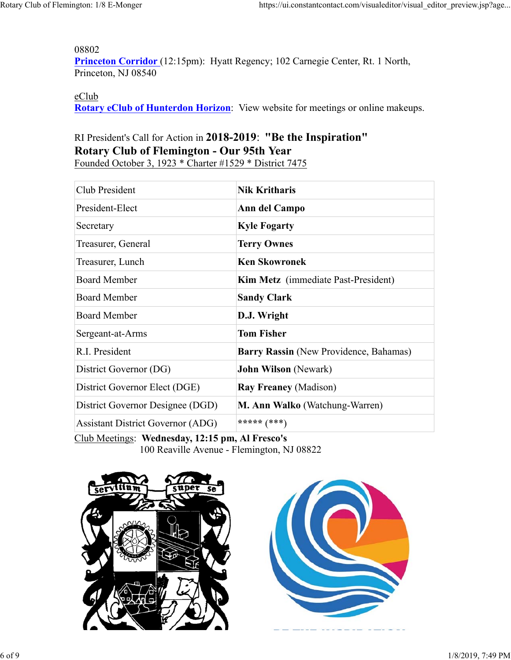08802

Princeton Corridor (12:15pm): Hyatt Regency; 102 Carnegie Center, Rt. 1 North, Princeton, NJ 08540

eClub

**Rotary eClub of Hunterdon Horizon**: View website for meetings or online makeups.

# RI President's Call for Action in **2018-2019**: **"Be the Inspiration" Rotary Club of Flemington - Our 95th Year**

Founded October 3, 1923 \* Charter #1529 \* District 7475

| Club President                           | <b>Nik Kritharis</b>                       |  |
|------------------------------------------|--------------------------------------------|--|
| President-Elect                          | Ann del Campo                              |  |
| Secretary                                | <b>Kyle Fogarty</b>                        |  |
| Treasurer, General                       | <b>Terry Ownes</b>                         |  |
| Treasurer, Lunch                         | <b>Ken Skowronek</b>                       |  |
| <b>Board Member</b>                      | <b>Kim Metz</b> (immediate Past-President) |  |
| <b>Board Member</b>                      | <b>Sandy Clark</b>                         |  |
| <b>Board Member</b>                      | D.J. Wright                                |  |
| Sergeant-at-Arms                         | <b>Tom Fisher</b>                          |  |
| R.I. President                           | Barry Rassin (New Providence, Bahamas)     |  |
| District Governor (DG)                   | <b>John Wilson</b> (Newark)                |  |
| District Governor Elect (DGE)            | <b>Ray Freaney (Madison)</b>               |  |
| District Governor Designee (DGD)         | M. Ann Walko (Watchung-Warren)             |  |
| <b>Assistant District Governor (ADG)</b> | ***** $(***)$                              |  |

Club Meetings: **Wednesday, 12:15 pm, Al Fresco's**





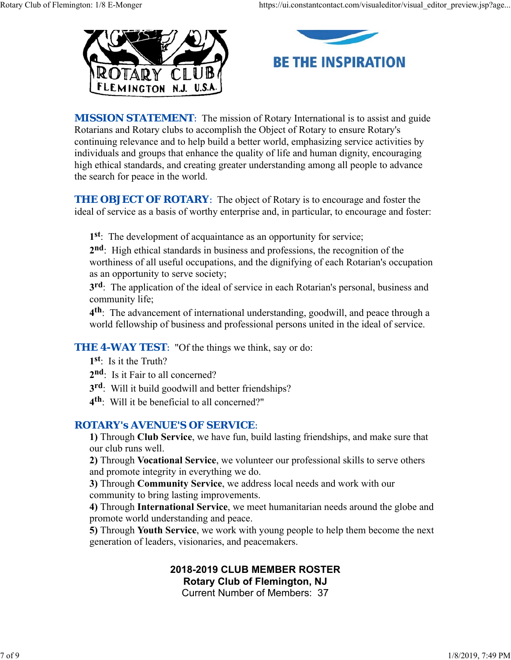



**MISSION STATEMENT:** The mission of Rotary International is to assist and guide Rotarians and Rotary clubs to accomplish the Object of Rotary to ensure Rotary's continuing relevance and to help build a better world, emphasizing service activities by individuals and groups that enhance the quality of life and human dignity, encouraging high ethical standards, and creating greater understanding among all people to advance the search for peace in the world.

**THE OBJECT OF ROTARY:** The object of Rotary is to encourage and foster the ideal of service as a basis of worthy enterprise and, in particular, to encourage and foster:

**1st**: The development of acquaintance as an opportunity for service;

**2nd**: High ethical standards in business and professions, the recognition of the worthiness of all useful occupations, and the dignifying of each Rotarian's occupation as an opportunity to serve society;

**3rd**: The application of the ideal of service in each Rotarian's personal, business and community life;

**4th**: The advancement of international understanding, goodwill, and peace through a world fellowship of business and professional persons united in the ideal of service.

# **THE 4-WAY TEST:** "Of the things we think, say or do:

- **1st**: Is it the Truth?
- 2<sup>nd</sup>: Is it Fair to all concerned?
- **3rd**: Will it build goodwill and better friendships?
- **4th**: Will it be beneficial to all concerned?"

## *ROTARY's AVENUE'S OF SERVICE*:

**1)** Through **Club Service**, we have fun, build lasting friendships, and make sure that our club runs well.

**2)** Through **Vocational Service**, we volunteer our professional skills to serve others and promote integrity in everything we do.

**3)** Through **Community Service**, we address local needs and work with our community to bring lasting improvements.

**4)** Through **International Service**, we meet humanitarian needs around the globe and promote world understanding and peace.

**5)** Through **Youth Service**, we work with young people to help them become the next generation of leaders, visionaries, and peacemakers.

### **2018-2019 CLUB MEMBER ROSTER Rotary Club of Flemington, NJ**

Current Number of Members: 37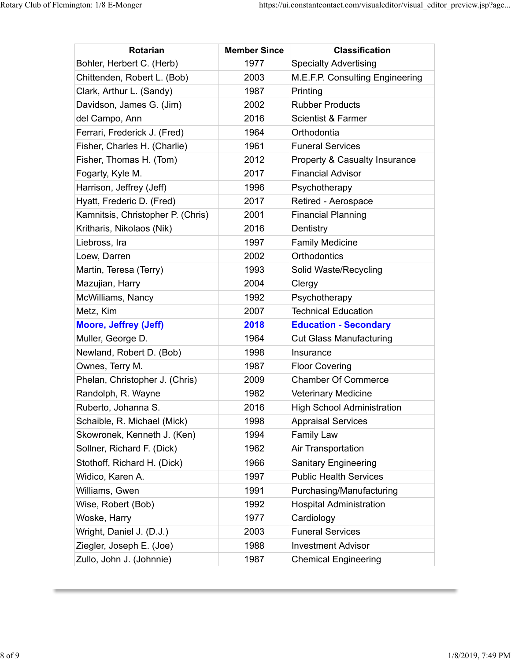| <b>Rotarian</b>                   | <b>Member Since</b> | <b>Classification</b>             |
|-----------------------------------|---------------------|-----------------------------------|
| Bohler, Herbert C. (Herb)         | 1977                | <b>Specialty Advertising</b>      |
| Chittenden, Robert L. (Bob)       | 2003                | M.E.F.P. Consulting Engineering   |
| Clark, Arthur L. (Sandy)          | 1987                | Printing                          |
| Davidson, James G. (Jim)          | 2002                | <b>Rubber Products</b>            |
| del Campo, Ann                    | 2016                | Scientist & Farmer                |
| Ferrari, Frederick J. (Fred)      | 1964                | Orthodontia                       |
| Fisher, Charles H. (Charlie)      | 1961                | <b>Funeral Services</b>           |
| Fisher, Thomas H. (Tom)           | 2012                | Property & Casualty Insurance     |
| Fogarty, Kyle M.                  | 2017                | <b>Financial Advisor</b>          |
| Harrison, Jeffrey (Jeff)          | 1996                | Psychotherapy                     |
| Hyatt, Frederic D. (Fred)         | 2017                | Retired - Aerospace               |
| Kamnitsis, Christopher P. (Chris) | 2001                | <b>Financial Planning</b>         |
| Kritharis, Nikolaos (Nik)         | 2016                | Dentistry                         |
| Liebross, Ira                     | 1997                | <b>Family Medicine</b>            |
| Loew, Darren                      | 2002                | <b>Orthodontics</b>               |
| Martin, Teresa (Terry)            | 1993                | Solid Waste/Recycling             |
| Mazujian, Harry                   | 2004                | Clergy                            |
| McWilliams, Nancy                 | 1992                | Psychotherapy                     |
| Metz, Kim                         | 2007                | <b>Technical Education</b>        |
| <b>Moore, Jeffrey (Jeff)</b>      | 2018                | <b>Education - Secondary</b>      |
| Muller, George D.                 | 1964                | <b>Cut Glass Manufacturing</b>    |
| Newland, Robert D. (Bob)          | 1998                | Insurance                         |
| Ownes, Terry M.                   | 1987                | <b>Floor Covering</b>             |
| Phelan, Christopher J. (Chris)    | 2009                | <b>Chamber Of Commerce</b>        |
| Randolph, R. Wayne                | 1982                | <b>Veterinary Medicine</b>        |
| Ruberto, Johanna S.               | 2016                | <b>High School Administration</b> |
| Schaible, R. Michael (Mick)       | 1998                | <b>Appraisal Services</b>         |
| Skowronek, Kenneth J. (Ken)       | 1994                | <b>Family Law</b>                 |
| Sollner, Richard F. (Dick)        | 1962                | Air Transportation                |
| Stothoff, Richard H. (Dick)       | 1966                | <b>Sanitary Engineering</b>       |
| Widico, Karen A.                  | 1997                | <b>Public Health Services</b>     |
| Williams, Gwen                    | 1991                | Purchasing/Manufacturing          |
| Wise, Robert (Bob)                | 1992                | <b>Hospital Administration</b>    |
| Woske, Harry                      | 1977                | Cardiology                        |
| Wright, Daniel J. (D.J.)          | 2003                | <b>Funeral Services</b>           |
| Ziegler, Joseph E. (Joe)          | 1988                | <b>Investment Advisor</b>         |
| Zullo, John J. (Johnnie)          | 1987                | <b>Chemical Engineering</b>       |